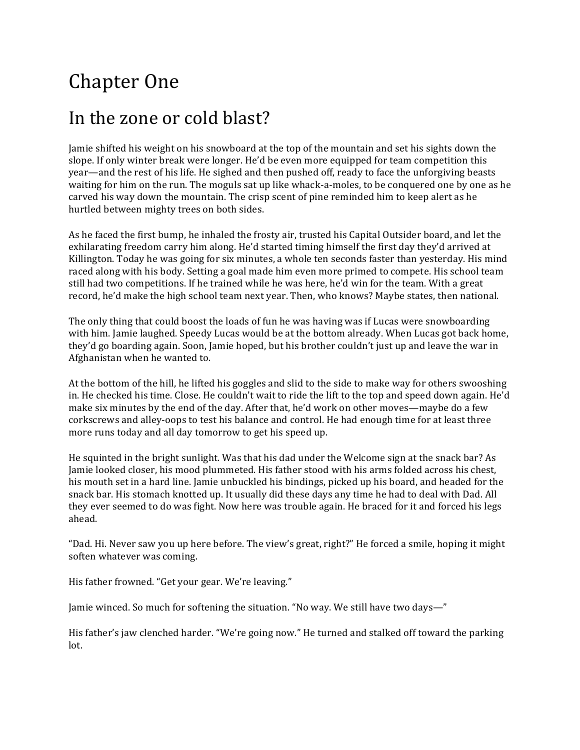## **Chapter One**

## In the zone or cold blast?

Jamie shifted his weight on his snowboard at the top of the mountain and set his sights down the slope. If only winter break were longer. He'd be even more equipped for team competition this year—and the rest of his life. He sighed and then pushed off, ready to face the unforgiving beasts waiting for him on the run. The moguls sat up like whack-a-moles, to be conquered one by one as he carved his way down the mountain. The crisp scent of pine reminded him to keep alert as he hurtled between mighty trees on both sides.

As he faced the first bump, he inhaled the frosty air, trusted his Capital Outsider board, and let the exhilarating freedom carry him along. He'd started timing himself the first day they'd arrived at Killington. Today he was going for six minutes, a whole ten seconds faster than yesterday. His mind raced along with his body. Setting a goal made him even more primed to compete. His school team still had two competitions. If he trained while he was here, he'd win for the team. With a great record, he'd make the high school team next year. Then, who knows? Maybe states, then national.

The only thing that could boost the loads of fun he was having was if Lucas were snowboarding with him. Jamie laughed. Speedy Lucas would be at the bottom already. When Lucas got back home, they'd go boarding again. Soon, Jamie hoped, but his brother couldn't just up and leave the war in Afghanistan when he wanted to.

At the bottom of the hill, he lifted his goggles and slid to the side to make way for others swooshing in. He checked his time. Close. He couldn't wait to ride the lift to the top and speed down again. He'd make six minutes by the end of the day. After that, he'd work on other moves—maybe do a few corkscrews and alley-oops to test his balance and control. He had enough time for at least three more runs today and all day tomorrow to get his speed up.

He squinted in the bright sunlight. Was that his dad under the Welcome sign at the snack bar? As Jamie looked closer, his mood plummeted. His father stood with his arms folded across his chest, his mouth set in a hard line. Jamie unbuckled his bindings, picked up his board, and headed for the snack bar. His stomach knotted up. It usually did these days any time he had to deal with Dad. All they ever seemed to do was fight. Now here was trouble again. He braced for it and forced his legs ahead. 

"Dad. Hi. Never saw you up here before. The view's great, right?" He forced a smile, hoping it might soften whatever was coming.

His father frowned. "Get your gear. We're leaving."

Jamie winced. So much for softening the situation. "No way. We still have two days—"

His father's jaw clenched harder. "We're going now." He turned and stalked off toward the parking lot.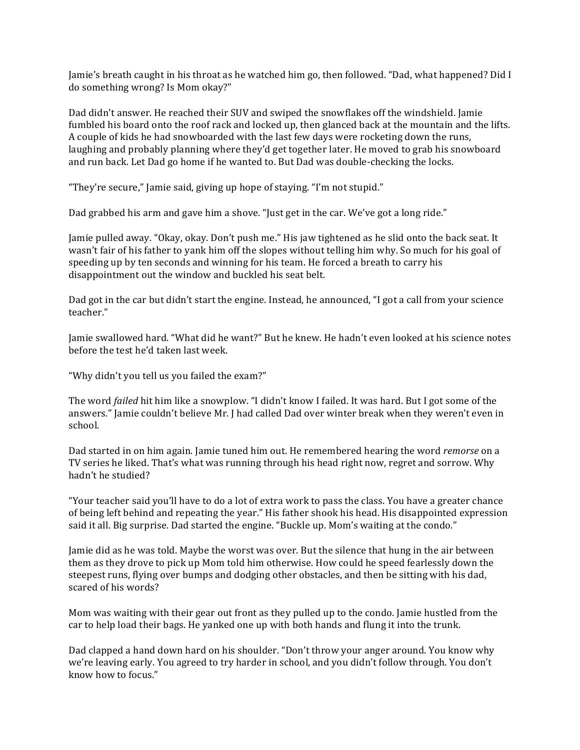Jamie's breath caught in his throat as he watched him go, then followed. "Dad, what happened? Did I do something wrong? Is Mom okay?"

Dad didn't answer. He reached their SUV and swiped the snowflakes off the windshield. Jamie fumbled his board onto the roof rack and locked up, then glanced back at the mountain and the lifts. A couple of kids he had snowboarded with the last few days were rocketing down the runs, laughing and probably planning where they'd get together later. He moved to grab his snowboard and run back. Let Dad go home if he wanted to. But Dad was double-checking the locks.

"They're secure," Jamie said, giving up hope of staying. "I'm not stupid."

Dad grabbed his arm and gave him a shove. "Just get in the car. We've got a long ride."

Jamie pulled away. "Okay, okay. Don't push me." His jaw tightened as he slid onto the back seat. It wasn't fair of his father to yank him off the slopes without telling him why. So much for his goal of speeding up by ten seconds and winning for his team. He forced a breath to carry his disappointment out the window and buckled his seat belt.

Dad got in the car but didn't start the engine. Instead, he announced, "I got a call from your science teacher." 

Jamie swallowed hard. "What did he want?" But he knew. He hadn't even looked at his science notes before the test he'd taken last week.

"Why didn't you tell us you failed the exam?"

The word *failed* hit him like a snowplow. "I didn't know I failed. It was hard. But I got some of the answers." Jamie couldn't believe Mr. J had called Dad over winter break when they weren't even in school. 

Dad started in on him again. Jamie tuned him out. He remembered hearing the word *remorse* on a TV series he liked. That's what was running through his head right now, regret and sorrow. Why hadn't he studied?

"Your teacher said you'll have to do a lot of extra work to pass the class. You have a greater chance of being left behind and repeating the year." His father shook his head. His disappointed expression said it all. Big surprise. Dad started the engine. "Buckle up. Mom's waiting at the condo."

Jamie did as he was told. Maybe the worst was over. But the silence that hung in the air between them as they drove to pick up Mom told him otherwise. How could he speed fearlessly down the steepest runs, flying over bumps and dodging other obstacles, and then be sitting with his dad, scared of his words?

Mom was waiting with their gear out front as they pulled up to the condo. Jamie hustled from the car to help load their bags. He yanked one up with both hands and flung it into the trunk.

Dad clapped a hand down hard on his shoulder. "Don't throw your anger around. You know why we're leaving early. You agreed to try harder in school, and you didn't follow through. You don't know how to focus."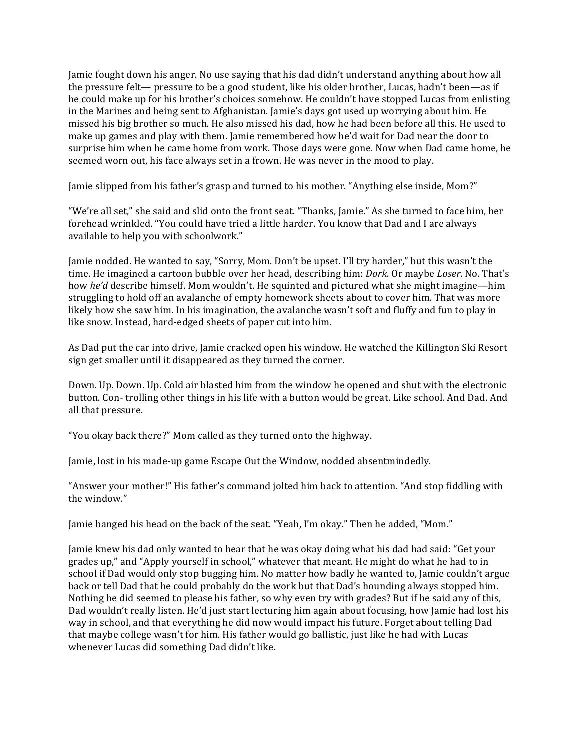Jamie fought down his anger. No use saying that his dad didn't understand anything about how all the pressure felt— pressure to be a good student, like his older brother, Lucas, hadn't been—as if he could make up for his brother's choices somehow. He couldn't have stopped Lucas from enlisting in the Marines and being sent to Afghanistan. Jamie's days got used up worrying about him. He missed his big brother so much. He also missed his dad, how he had been before all this. He used to make up games and play with them. Jamie remembered how he'd wait for Dad near the door to surprise him when he came home from work. Those days were gone. Now when Dad came home, he seemed worn out, his face always set in a frown. He was never in the mood to play.

Jamie slipped from his father's grasp and turned to his mother. "Anything else inside, Mom?"

"We're all set," she said and slid onto the front seat. "Thanks, Jamie." As she turned to face him, her forehead wrinkled. "You could have tried a little harder. You know that Dad and I are always available to help you with schoolwork."

Jamie nodded. He wanted to say, "Sorry, Mom. Don't be upset. I'll try harder," but this wasn't the time. He imagined a cartoon bubble over her head, describing him: *Dork*. Or maybe *Loser*. No. That's how *he'd* describe himself. Mom wouldn't. He squinted and pictured what she might imagine—him struggling to hold off an avalanche of empty homework sheets about to cover him. That was more likely how she saw him. In his imagination, the avalanche wasn't soft and fluffy and fun to play in like snow. Instead, hard-edged sheets of paper cut into him.

As Dad put the car into drive, Jamie cracked open his window. He watched the Killington Ski Resort sign get smaller until it disappeared as they turned the corner.

Down. Up. Down. Up. Cold air blasted him from the window he opened and shut with the electronic button. Con- trolling other things in his life with a button would be great. Like school. And Dad. And all that pressure.

"You okay back there?" Mom called as they turned onto the highway.

Jamie, lost in his made-up game Escape Out the Window, nodded absentmindedly.

"Answer your mother!" His father's command jolted him back to attention. "And stop fiddling with the window."

Jamie banged his head on the back of the seat. "Yeah, I'm okay." Then he added, "Mom."

Jamie knew his dad only wanted to hear that he was okay doing what his dad had said: "Get your grades up," and "Apply yourself in school," whatever that meant. He might do what he had to in school if Dad would only stop bugging him. No matter how badly he wanted to, Jamie couldn't argue back or tell Dad that he could probably do the work but that Dad's hounding always stopped him. Nothing he did seemed to please his father, so why even try with grades? But if he said any of this, Dad wouldn't really listen. He'd just start lecturing him again about focusing, how Jamie had lost his way in school, and that everything he did now would impact his future. Forget about telling Dad that maybe college wasn't for him. His father would go ballistic, just like he had with Lucas whenever Lucas did something Dad didn't like.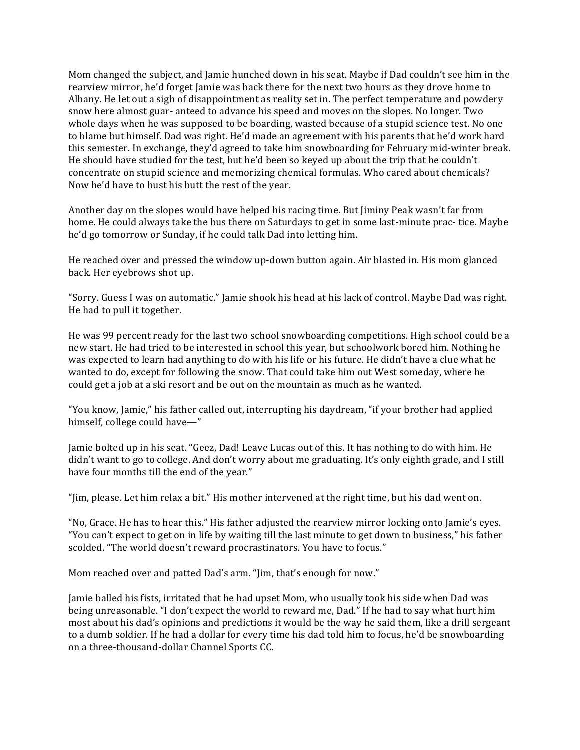Mom changed the subject, and Jamie hunched down in his seat. Maybe if Dad couldn't see him in the rearview mirror, he'd forget Jamie was back there for the next two hours as they drove home to Albany. He let out a sigh of disappointment as reality set in. The perfect temperature and powdery snow here almost guar- anteed to advance his speed and moves on the slopes. No longer. Two whole days when he was supposed to be boarding, wasted because of a stupid science test. No one to blame but himself. Dad was right. He'd made an agreement with his parents that he'd work hard this semester. In exchange, they'd agreed to take him snowboarding for February mid-winter break. He should have studied for the test, but he'd been so keyed up about the trip that he couldn't concentrate on stupid science and memorizing chemical formulas. Who cared about chemicals? Now he'd have to bust his butt the rest of the year.

Another day on the slopes would have helped his racing time. But Jiminy Peak wasn't far from home. He could always take the bus there on Saturdays to get in some last-minute prac- tice. Maybe he'd go tomorrow or Sunday, if he could talk Dad into letting him.

He reached over and pressed the window up-down button again. Air blasted in. His mom glanced back. Her eyebrows shot up.

"Sorry. Guess I was on automatic." Jamie shook his head at his lack of control. Maybe Dad was right. He had to pull it together.

He was 99 percent ready for the last two school snowboarding competitions. High school could be a new start. He had tried to be interested in school this year, but schoolwork bored him. Nothing he was expected to learn had anything to do with his life or his future. He didn't have a clue what he wanted to do, except for following the snow. That could take him out West someday, where he could get a job at a ski resort and be out on the mountain as much as he wanted.

"You know, Jamie," his father called out, interrupting his daydream, "if your brother had applied himself, college could have—"

Jamie bolted up in his seat. "Geez, Dad! Leave Lucas out of this. It has nothing to do with him. He didn't want to go to college. And don't worry about me graduating. It's only eighth grade, and I still have four months till the end of the year."

"Jim, please. Let him relax a bit." His mother intervened at the right time, but his dad went on.

"No, Grace. He has to hear this." His father adjusted the rearview mirror locking onto Jamie's eyes. "You can't expect to get on in life by waiting till the last minute to get down to business," his father scolded. "The world doesn't reward procrastinators. You have to focus."

Mom reached over and patted Dad's arm. "Jim, that's enough for now."

Jamie balled his fists, irritated that he had upset Mom, who usually took his side when Dad was being unreasonable. "I don't expect the world to reward me, Dad." If he had to say what hurt him most about his dad's opinions and predictions it would be the way he said them, like a drill sergeant to a dumb soldier. If he had a dollar for every time his dad told him to focus, he'd be snowboarding on a three-thousand-dollar Channel Sports CC.